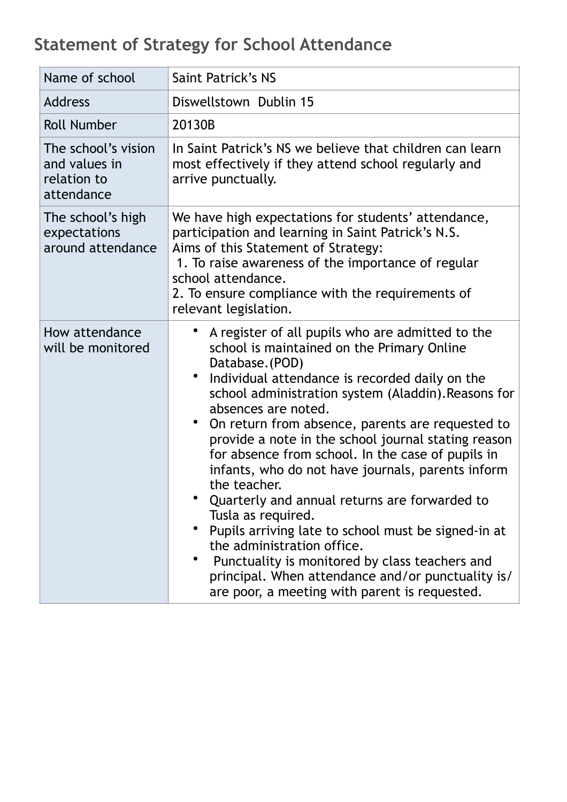## **Statement of Strategy for School Attendance**

| Name of school                                                    | Saint Patrick's NS                                                                                                                                                                                                                                                                                                                                                                                                                                                                                                                                                                                                                                                                                                                                                                                                                   |
|-------------------------------------------------------------------|--------------------------------------------------------------------------------------------------------------------------------------------------------------------------------------------------------------------------------------------------------------------------------------------------------------------------------------------------------------------------------------------------------------------------------------------------------------------------------------------------------------------------------------------------------------------------------------------------------------------------------------------------------------------------------------------------------------------------------------------------------------------------------------------------------------------------------------|
| <b>Address</b>                                                    | Diswellstown Dublin 15                                                                                                                                                                                                                                                                                                                                                                                                                                                                                                                                                                                                                                                                                                                                                                                                               |
| <b>Roll Number</b>                                                | 20130B                                                                                                                                                                                                                                                                                                                                                                                                                                                                                                                                                                                                                                                                                                                                                                                                                               |
| The school's vision<br>and values in<br>relation to<br>attendance | In Saint Patrick's NS we believe that children can learn<br>most effectively if they attend school regularly and<br>arrive punctually.                                                                                                                                                                                                                                                                                                                                                                                                                                                                                                                                                                                                                                                                                               |
| The school's high<br>expectations<br>around attendance            | We have high expectations for students' attendance,<br>participation and learning in Saint Patrick's N.S.<br>Aims of this Statement of Strategy:<br>1. To raise awareness of the importance of regular<br>school attendance.<br>2. To ensure compliance with the requirements of<br>relevant legislation.                                                                                                                                                                                                                                                                                                                                                                                                                                                                                                                            |
| How attendance<br>will be monitored                               | A register of all pupils who are admitted to the<br>school is maintained on the Primary Online<br>Database. (POD)<br>Individual attendance is recorded daily on the<br>$\bullet$<br>school administration system (Aladdin). Reasons for<br>absences are noted.<br>$\bullet$<br>On return from absence, parents are requested to<br>provide a note in the school journal stating reason<br>for absence from school. In the case of pupils in<br>infants, who do not have journals, parents inform<br>the teacher.<br>Quarterly and annual returns are forwarded to<br>Tusla as required.<br>Pupils arriving late to school must be signed-in at<br>the administration office.<br>Punctuality is monitored by class teachers and<br>principal. When attendance and/or punctuality is/<br>are poor, a meeting with parent is requested. |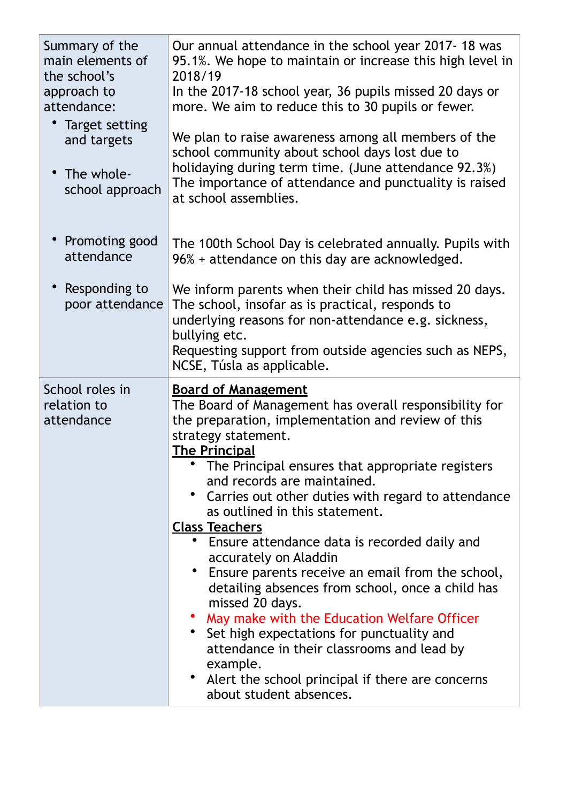| Summary of the<br>main elements of<br>the school's<br>approach to<br>attendance:<br>Target setting<br>and targets<br>• The whole-<br>school approach | Our annual attendance in the school year 2017-18 was<br>95.1%. We hope to maintain or increase this high level in<br>2018/19<br>In the 2017-18 school year, 36 pupils missed 20 days or<br>more. We aim to reduce this to 30 pupils or fewer.<br>We plan to raise awareness among all members of the<br>school community about school days lost due to<br>holidaying during term time. (June attendance 92.3%)<br>The importance of attendance and punctuality is raised<br>at school assemblies.                                                                                                                                                                                                                                                                                                                                                         |
|------------------------------------------------------------------------------------------------------------------------------------------------------|-----------------------------------------------------------------------------------------------------------------------------------------------------------------------------------------------------------------------------------------------------------------------------------------------------------------------------------------------------------------------------------------------------------------------------------------------------------------------------------------------------------------------------------------------------------------------------------------------------------------------------------------------------------------------------------------------------------------------------------------------------------------------------------------------------------------------------------------------------------|
| Promoting good<br>attendance                                                                                                                         | The 100th School Day is celebrated annually. Pupils with<br>96% + attendance on this day are acknowledged.                                                                                                                                                                                                                                                                                                                                                                                                                                                                                                                                                                                                                                                                                                                                                |
| Responding to<br>poor attendance                                                                                                                     | We inform parents when their child has missed 20 days.<br>The school, insofar as is practical, responds to<br>underlying reasons for non-attendance e.g. sickness,<br>bullying etc.<br>Requesting support from outside agencies such as NEPS,<br>NCSE, Túsla as applicable.                                                                                                                                                                                                                                                                                                                                                                                                                                                                                                                                                                               |
| School roles in<br>relation to<br>attendance                                                                                                         | <b>Board of Management</b><br>The Board of Management has overall responsibility for<br>the preparation, implementation and review of this<br>strategy statement.<br><b>The Principal</b><br>The Principal ensures that appropriate registers<br>and records are maintained.<br>• Carries out other duties with regard to attendance<br>as outlined in this statement.<br><b>Class Teachers</b><br>• Ensure attendance data is recorded daily and<br>accurately on Aladdin<br>Ensure parents receive an email from the school,<br>detailing absences from school, once a child has<br>missed 20 days.<br>May make with the Education Welfare Officer<br>• Set high expectations for punctuality and<br>attendance in their classrooms and lead by<br>example.<br>$\bullet$<br>Alert the school principal if there are concerns<br>about student absences. |